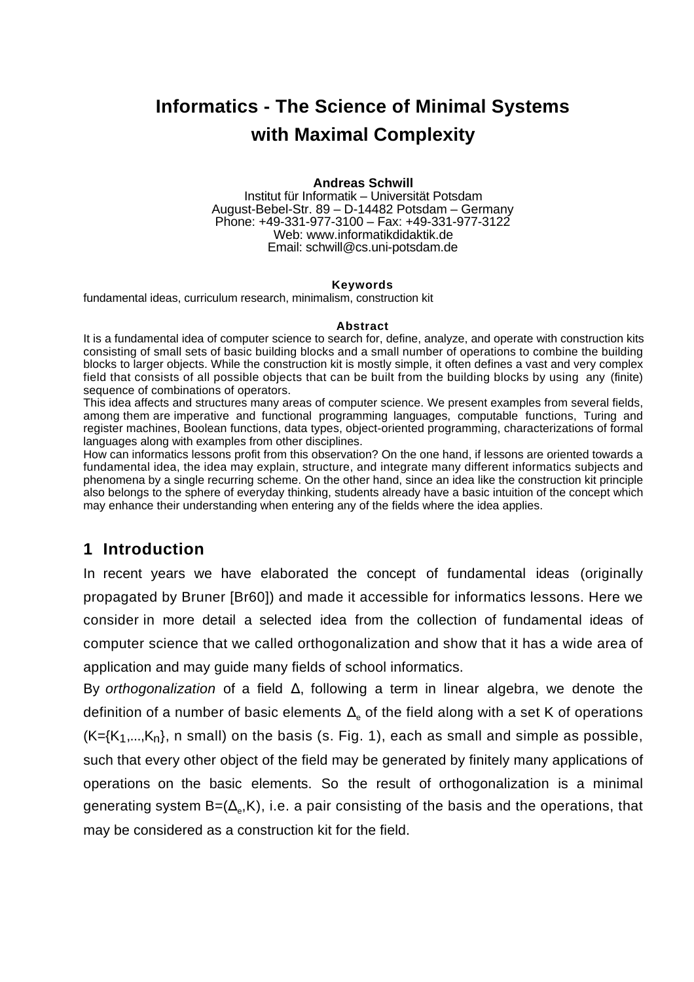# **Informatics - The Science of Minimal Systems with Maximal Complexity**

#### **Andreas Schwill**

Institut für Informatik – Universität Potsdam August-Bebel-Str. 89 – D-14482 Potsdam – Germany Phone: +49-331-977-3100 – Fax: +49-331-977-3122 Web: www.informatikdidaktik.de Email: schwill@cs.uni-potsdam.de

#### **Keywords**

fundamental ideas, curriculum research, minimalism, construction kit

#### **Abstract**

It is a fundamental idea of computer science to search for, define, analyze, and operate with construction kits consisting of small sets of basic building blocks and a small number of operations to combine the building blocks to larger objects. While the construction kit is mostly simple, it often defines a vast and very complex field that consists of all possible objects that can be built from the building blocks by using any (finite) sequence of combinations of operators.

This idea affects and structures many areas of computer science. We present examples from several fields, among them are imperative and functional programming languages, computable functions, Turing and register machines, Boolean functions, data types, object-oriented programming, characterizations of formal languages along with examples from other disciplines.

How can informatics lessons profit from this observation? On the one hand, if lessons are oriented towards a fundamental idea, the idea may explain, structure, and integrate many different informatics subjects and phenomena by a single recurring scheme. On the other hand, since an idea like the construction kit principle also belongs to the sphere of everyday thinking, students already have a basic intuition of the concept which may enhance their understanding when entering any of the fields where the idea applies.

# **1 Introduction**

In recent years we have elaborated the concept of fundamental ideas (originally propagated by Bruner [Br60]) and made it accessible for informatics lessons. Here we consider in more detail a selected idea from the collection of fundamental ideas of computer science that we called orthogonalization and show that it has a wide area of application and may guide many fields of school informatics.

By *orthogonalization* of a field , following a term in linear algebra, we denote the definition of a number of basic elements  $\;\;\;_\circ$  of the field along with a set K of operations  $(K=\{K_1,...,K_n\})$ , n small) on the basis (s. Fig. 1), each as small and simple as possible, such that every other object of the field may be generated by finitely many applications of operations on the basic elements. So the result of orthogonalization is a minimal generating system B=(  $_{\circ}$ ,K), i.e. a pair consisting of the basis and the operations, that may be considered as a construction kit for the field.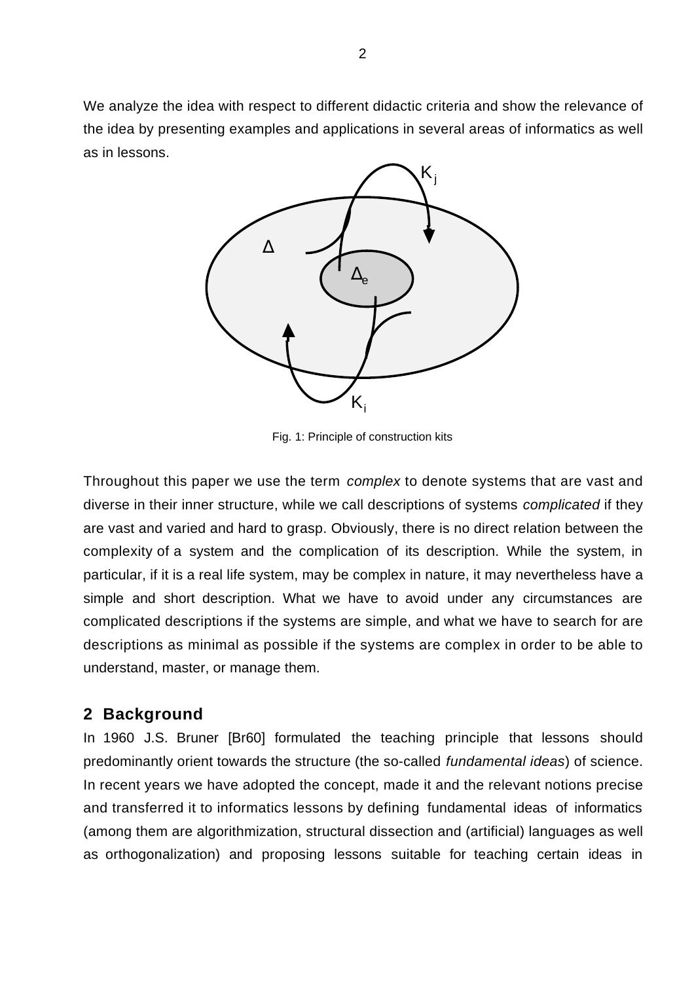We analyze the idea with respect to different didactic criteria and show the relevance of the idea by presenting examples and applications in several areas of informatics as well as in lessons.



Fig. 1: Principle of construction kits

Throughout this paper we use the term *complex* to denote systems that are vast and diverse in their inner structure, while we call descriptions of systems *complicated* if they are vast and varied and hard to grasp. Obviously, there is no direct relation between the complexity of a system and the complication of its description. While the system, in particular, if it is a real life system, may be complex in nature, it may nevertheless have a simple and short description. What we have to avoid under any circumstances are complicated descriptions if the systems are simple, and what we have to search for are descriptions as minimal as possible if the systems are complex in order to be able to understand, master, or manage them.

# **2 Background**

In 1960 J.S. Bruner [Br60] formulated the teaching principle that lessons should predominantly orient towards the structure (the so-called *fundamental ideas*) of science. In recent years we have adopted the concept, made it and the relevant notions precise and transferred it to informatics lessons by defining fundamental ideas of informatics (among them are algorithmization, structural dissection and (artificial) languages as well as orthogonalization) and proposing lessons suitable for teaching certain ideas in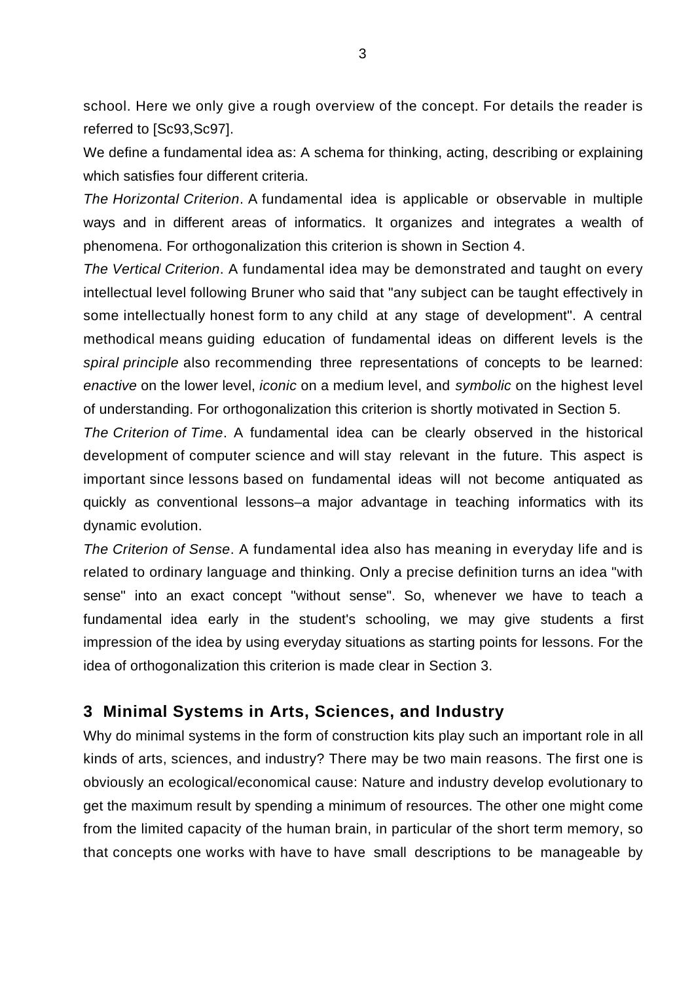school. Here we only give a rough overview of the concept. For details the reader is referred to [Sc93,Sc97].

We define a fundamental idea as: A schema for thinking, acting, describing or explaining which satisfies four different criteria.

*The Horizontal Criterion*. A fundamental idea is applicable or observable in multiple ways and in different areas of informatics. It organizes and integrates a wealth of phenomena. For orthogonalization this criterion is shown in Section 4.

*The Vertical Criterion*. A fundamental idea may be demonstrated and taught on every intellectual level following Bruner who said that "any subject can be taught effectively in some intellectually honest form to any child at any stage of development". A central methodical means guiding education of fundamental ideas on different levels is the *spiral principle* also recommending three representations of concepts to be learned: *enactive* on the lower level, *iconic* on a medium level, and *symbolic* on the highest level of understanding. For orthogonalization this criterion is shortly motivated in Section 5.

*The Criterion of Time*. A fundamental idea can be clearly observed in the historical development of computer science and will stay relevant in the future. This aspect is important since lessons based on fundamental ideas will not become antiquated as quickly as conventional lessons–a major advantage in teaching informatics with its dynamic evolution.

*The Criterion of Sense*. A fundamental idea also has meaning in everyday life and is related to ordinary language and thinking. Only a precise definition turns an idea "with sense" into an exact concept "without sense". So, whenever we have to teach a fundamental idea early in the student's schooling, we may give students a first impression of the idea by using everyday situations as starting points for lessons. For the idea of orthogonalization this criterion is made clear in Section 3.

### **3 Minimal Systems in Arts, Sciences, and Industry**

Why do minimal systems in the form of construction kits play such an important role in all kinds of arts, sciences, and industry? There may be two main reasons. The first one is obviously an ecological/economical cause: Nature and industry develop evolutionary to get the maximum result by spending a minimum of resources. The other one might come from the limited capacity of the human brain, in particular of the short term memory, so that concepts one works with have to have small descriptions to be manageable by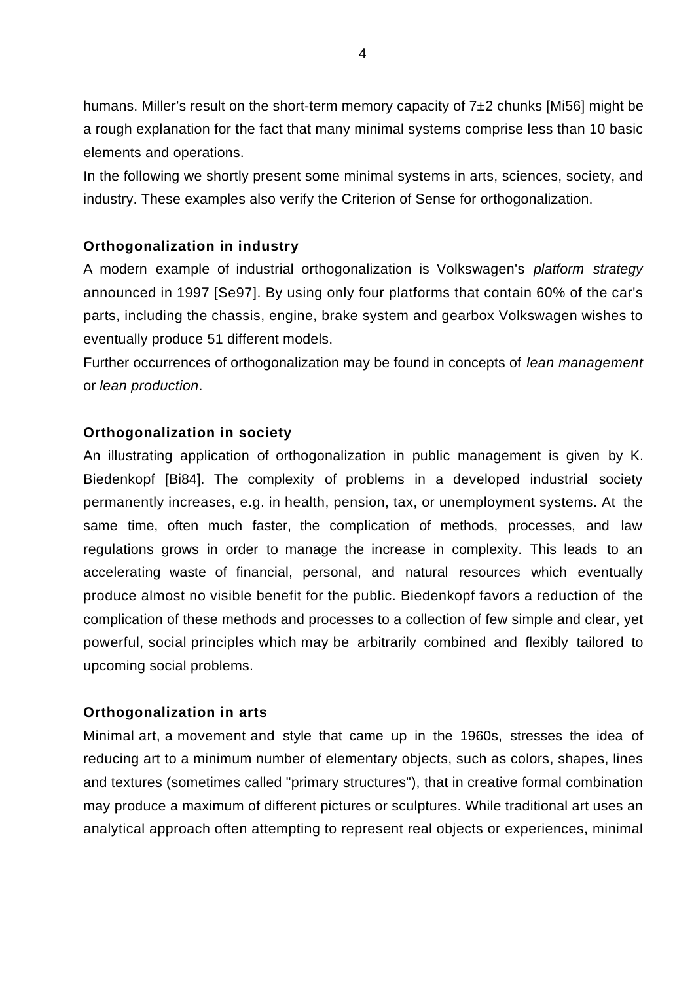humans. Miller's result on the short-term memory capacity of 7±2 chunks [Mi56] might be a rough explanation for the fact that many minimal systems comprise less than 10 basic elements and operations.

In the following we shortly present some minimal systems in arts, sciences, society, and industry. These examples also verify the Criterion of Sense for orthogonalization.

### **Orthogonalization in industry**

A modern example of industrial orthogonalization is Volkswagen's *platform strategy* announced in 1997 [Se97]. By using only four platforms that contain 60% of the car's parts, including the chassis, engine, brake system and gearbox Volkswagen wishes to eventually produce 51 different models.

Further occurrences of orthogonalization may be found in concepts of *lean management* or *lean production*.

## **Orthogonalization in society**

An illustrating application of orthogonalization in public management is given by K. Biedenkopf [Bi84]. The complexity of problems in a developed industrial society permanently increases, e.g. in health, pension, tax, or unemployment systems. At the same time, often much faster, the complication of methods, processes, and law regulations grows in order to manage the increase in complexity. This leads to an accelerating waste of financial, personal, and natural resources which eventually produce almost no visible benefit for the public. Biedenkopf favors a reduction of the complication of these methods and processes to a collection of few simple and clear, yet powerful, social principles which may be arbitrarily combined and flexibly tailored to upcoming social problems.

### **Orthogonalization in arts**

Minimal art, a movement and style that came up in the 1960s, stresses the idea of reducing art to a minimum number of elementary objects, such as colors, shapes, lines and textures (sometimes called "primary structures"), that in creative formal combination may produce a maximum of different pictures or sculptures. While traditional art uses an analytical approach often attempting to represent real objects or experiences, minimal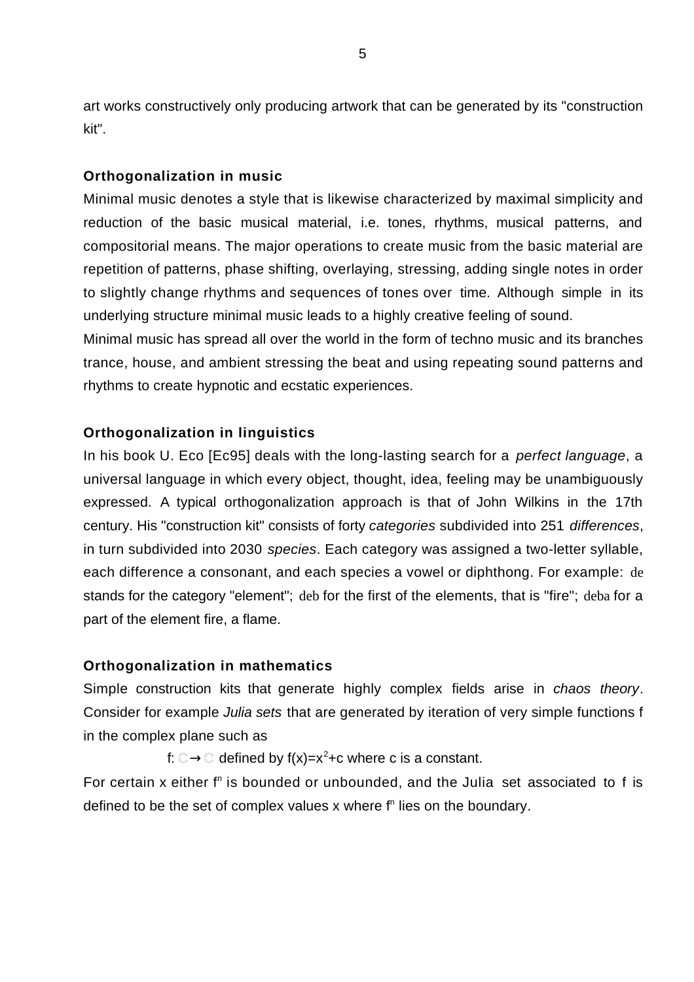art works constructively only producing artwork that can be generated by its "construction kit".

#### **Orthogonalization in music**

Minimal music denotes a style that is likewise characterized by maximal simplicity and reduction of the basic musical material, i.e. tones, rhythms, musical patterns, and compositorial means. The major operations to create music from the basic material are repetition of patterns, phase shifting, overlaying, stressing, adding single notes in order to slightly change rhythms and sequences of tones over time. Although simple in its underlying structure minimal music leads to a highly creative feeling of sound.

Minimal music has spread all over the world in the form of techno music and its branches trance, house, and ambient stressing the beat and using repeating sound patterns and rhythms to create hypnotic and ecstatic experiences.

#### **Orthogonalization in linguistics**

In his book U. Eco [Ec95] deals with the long-lasting search for a *perfect language*, a universal language in which every object, thought, idea, feeling may be unambiguously expressed. A typical orthogonalization approach is that of John Wilkins in the 17th century. His "construction kit" consists of forty *categories* subdivided into 251 *differences*, in turn subdivided into 2030 *species*. Each category was assigned a two-letter syllable, each difference a consonant, and each species a vowel or diphthong. For example: de stands for the category "element"; deb for the first of the elements, that is "fire"; deba for a part of the element fire, a flame.

#### **Orthogonalization in mathematics**

Simple construction kits that generate highly complex fields arise in *chaos theory*. Consider for example *Julia sets* that are generated by iteration of very simple functions f in the complex plane such as

f:  $\mathbb{C}$   $\mathbb{C}$  defined by f(x)=x<sup>2</sup>+c where c is a constant.

For certain x either f<sup>n</sup> is bounded or unbounded, and the Julia set associated to f is defined to be the set of complex values  $x$  where  $f<sup>n</sup>$  lies on the boundary.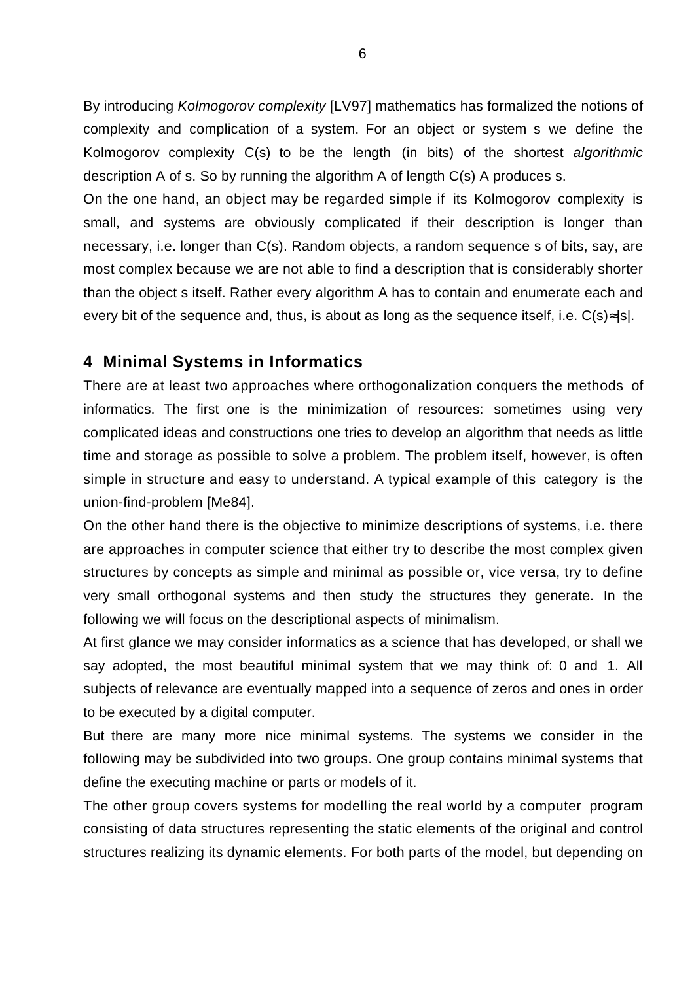By introducing *Kolmogorov complexity* [LV97] mathematics has formalized the notions of complexity and complication of a system. For an object or system s we define the Kolmogorov complexity C(s) to be the length (in bits) of the shortest *algorithmic* description A of s. So by running the algorithm A of length C(s) A produces s.

On the one hand, an object may be regarded simple if its Kolmogorov complexity is small, and systems are obviously complicated if their description is longer than necessary, i.e. longer than C(s). Random objects, a random sequence s of bits, say, are most complex because we are not able to find a description that is considerably shorter than the object s itself. Rather every algorithm A has to contain and enumerate each and every bit of the sequence and, thus, is about as long as the sequence itself, i.e. C(s) |s|.

### **4 Minimal Systems in Informatics**

There are at least two approaches where orthogonalization conquers the methods of informatics. The first one is the minimization of resources: sometimes using very complicated ideas and constructions one tries to develop an algorithm that needs as little time and storage as possible to solve a problem. The problem itself, however, is often simple in structure and easy to understand. A typical example of this category is the union-find-problem [Me84].

On the other hand there is the objective to minimize descriptions of systems, i.e. there are approaches in computer science that either try to describe the most complex given structures by concepts as simple and minimal as possible or, vice versa, try to define very small orthogonal systems and then study the structures they generate. In the following we will focus on the descriptional aspects of minimalism.

At first glance we may consider informatics as a science that has developed, or shall we say adopted, the most beautiful minimal system that we may think of: 0 and 1. All subjects of relevance are eventually mapped into a sequence of zeros and ones in order to be executed by a digital computer.

But there are many more nice minimal systems. The systems we consider in the following may be subdivided into two groups. One group contains minimal systems that define the executing machine or parts or models of it.

The other group covers systems for modelling the real world by a computer program consisting of data structures representing the static elements of the original and control structures realizing its dynamic elements. For both parts of the model, but depending on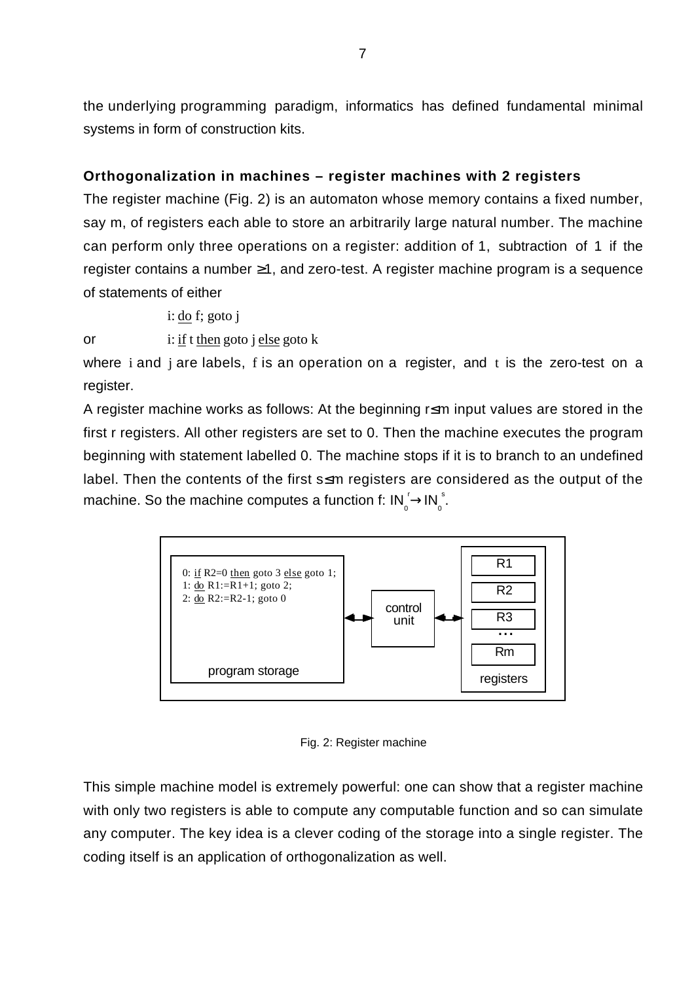the underlying programming paradigm, informatics has defined fundamental minimal systems in form of construction kits.

# **Orthogonalization in machines – register machines with 2 registers**

The register machine (Fig. 2) is an automaton whose memory contains a fixed number, say m, of registers each able to store an arbitrarily large natural number. The machine can perform only three operations on a register: addition of 1, subtraction of 1 if the register contains a number 1, and zero-test. A register machine program is a sequence of statements of either

i:  $d\rho$  f; goto j

or i: if t then goto j else goto k

where i and j are labels, f is an operation on a register, and t is the zero-test on a register.

A register machine works as follows: At the beginning r m input values are stored in the first r registers. All other registers are set to 0. Then the machine executes the program beginning with statement labelled 0. The machine stops if it is to branch to an undefined label. Then the contents of the first s m registers are considered as the output of the machine. So the machine computes a function f:  $IN_0^T IN_0^S$ .



Fig. 2: Register machine

This simple machine model is extremely powerful: one can show that a register machine with only two registers is able to compute any computable function and so can simulate any computer. The key idea is a clever coding of the storage into a single register. The coding itself is an application of orthogonalization as well.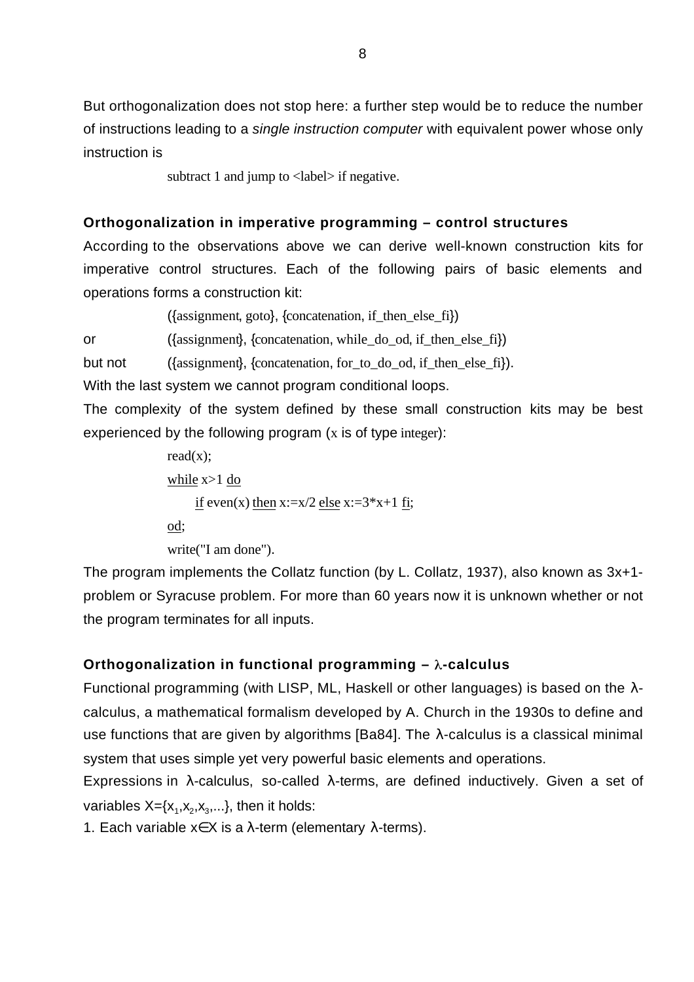But orthogonalization does not stop here: a further step would be to reduce the number of instructions leading to a *single instruction computer* with equivalent power whose only instruction is

subtract 1 and jump to <label> if negative.

## **Orthogonalization in imperative programming – control structures**

According to the observations above we can derive well-known construction kits for imperative control structures. Each of the following pairs of basic elements and operations forms a construction kit:

 $({\{assignment, goto\}, \{concatenation, if then else fi\})}$ 

or ({assignment}, {concatenation, while do od, if then else fi})

but not ({assignment}, {concatenation, for\_to\_do\_od, if\_then\_else\_fi}).

With the last system we cannot program conditional loops.

The complexity of the system defined by these small construction kits may be best experienced by the following program  $(x$  is of type integer):

> read $(x)$ ; while x>1 do if even(x) then  $x:=x/2$  else  $x:=3*x+1$  fi; od;

write("I am done").

The program implements the Collatz function (by L. Collatz, 1937), also known as 3x+1 problem or Syracuse problem. For more than 60 years now it is unknown whether or not the program terminates for all inputs.

# Orthogonalization in functional programming  $-\lambda$ -calculus

Functional programming (with LISP, ML, Haskell or other languages) is based on the calculus, a mathematical formalism developed by A. Church in the 1930s to define and use functions that are given by algorithms [Ba84]. The -calculus is a classical minimal system that uses simple yet very powerful basic elements and operations.

Expressions in -calculus, so-called -terms, are defined inductively. Given a set of variables  $X = \{x_1, x_2, x_3, ...\}$ , then it holds:

1. Each variable x X is a -term (elementary -terms).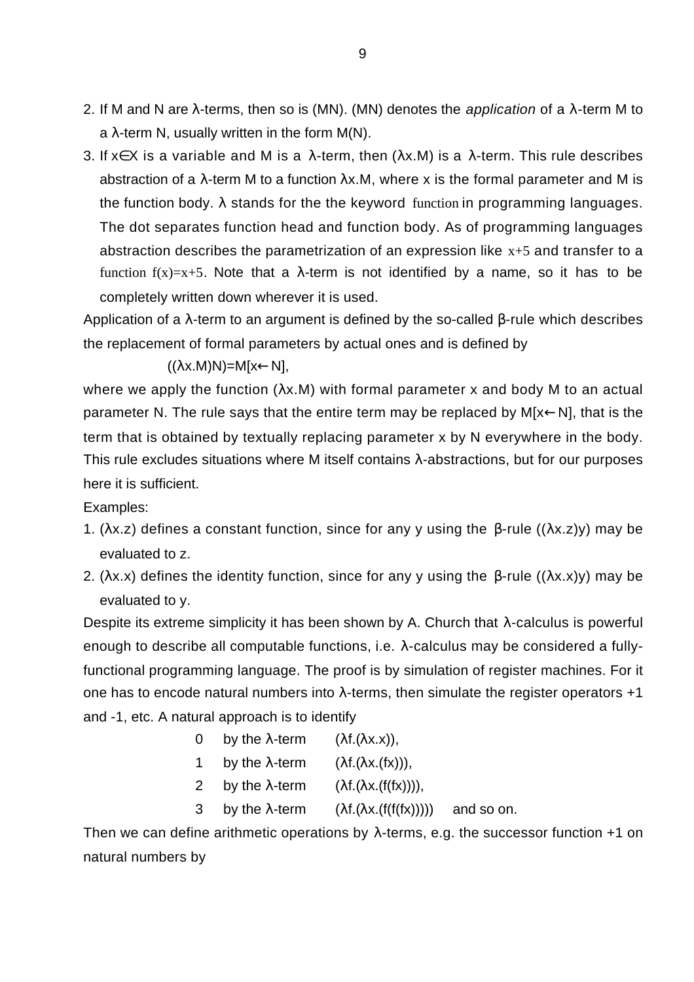- 2. If M and N are -terms, then so is (MN). (MN) denotes the *application* of a -term M to a -term N, usually written in the form M(N).
- 3. If x X is a variable and M is a -term, then ( x.M) is a -term. This rule describes abstraction of a -term M to a function x.M, where x is the formal parameter and M is the function body. stands for the the keyword function in programming languages. The dot separates function head and function body. As of programming languages abstraction describes the parametrization of an expression like  $x+5$  and transfer to a function  $f(x)=x+5$ . Note that a -term is not identified by a name, so it has to be completely written down wherever it is used.

Application of a -term to an argument is defined by the so-called -rule which describes the replacement of formal parameters by actual ones and is defined by

 $(( x.M)N)=M[x N],$ 

where we apply the function ( $x.M$ ) with formal parameter x and body M to an actual parameter N. The rule says that the entire term may be replaced by M[x N], that is the term that is obtained by textually replacing parameter x by N everywhere in the body. This rule excludes situations where M itself contains -abstractions, but for our purposes here it is sufficient.

Examples:

- 1. ( $x.z$ ) defines a constant function, since for any y using the -rule  $((x.z)y)$  may be evaluated to z.
- 2. (  $x.x$ ) defines the identity function, since for any y using the -rule  $(( x.x)y)$  may be evaluated to y.

Despite its extreme simplicity it has been shown by A. Church that -calculus is powerful enough to describe all computable functions, i.e. -calculus may be considered a fullyfunctional programming language. The proof is by simulation of register machines. For it one has to encode natural numbers into -terms, then simulate the register operators +1 and -1, etc. A natural approach is to identify

> 0 by the -term  $(f.(x.x))$ , 1 by the -term  $(f.( x.(fx))),$ 2 by the -term (  $f.(\mathbf{x} \cdot (f(f(\mathbf{x}))))$ , 3 by the -term (  $f.(\ x.f(f(f(x))))$  and so on.

Then we can define arithmetic operations by -terms, e.g. the successor function +1 on natural numbers by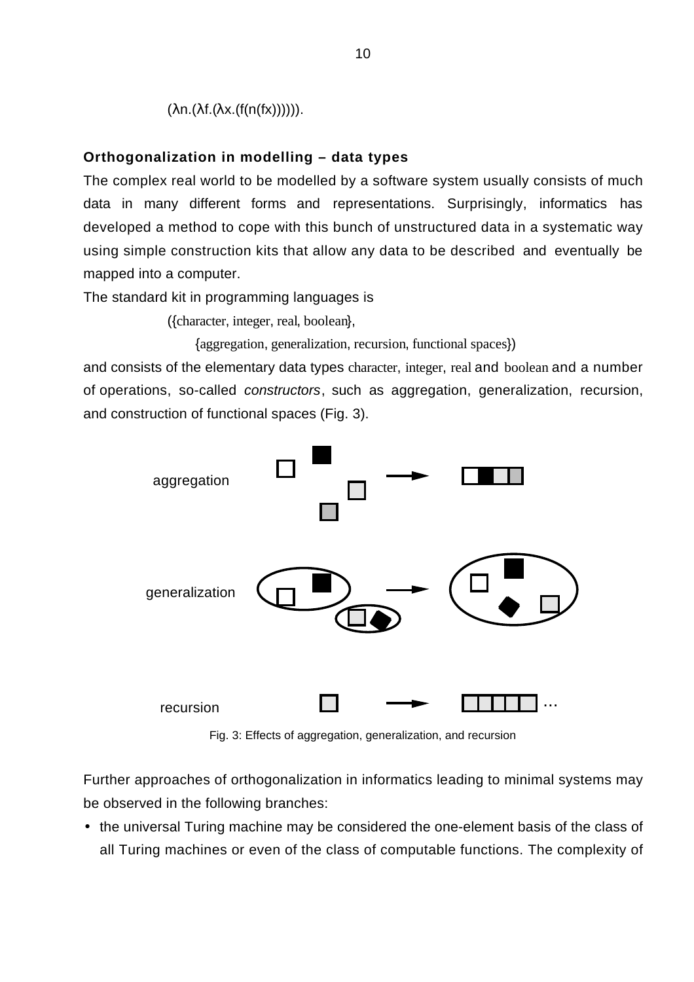( n.( f.( x.(f(n(fx)))))).

#### **Orthogonalization in modelling – data types**

The complex real world to be modelled by a software system usually consists of much data in many different forms and representations. Surprisingly, informatics has developed a method to cope with this bunch of unstructured data in a systematic way using simple construction kits that allow any data to be described and eventually be mapped into a computer.

The standard kit in programming languages is

({character, integer, real, boolean},

{aggregation, generalization, recursion, functional spaces})

and consists of the elementary data types character, integer, real and boolean and a number of operations, so-called *constructors*, such as aggregation, generalization, recursion, and construction of functional spaces (Fig. 3).



Fig. 3: Effects of aggregation, generalization, and recursion

Further approaches of orthogonalization in informatics leading to minimal systems may be observed in the following branches:

• the universal Turing machine may be considered the one-element basis of the class of all Turing machines or even of the class of computable functions. The complexity of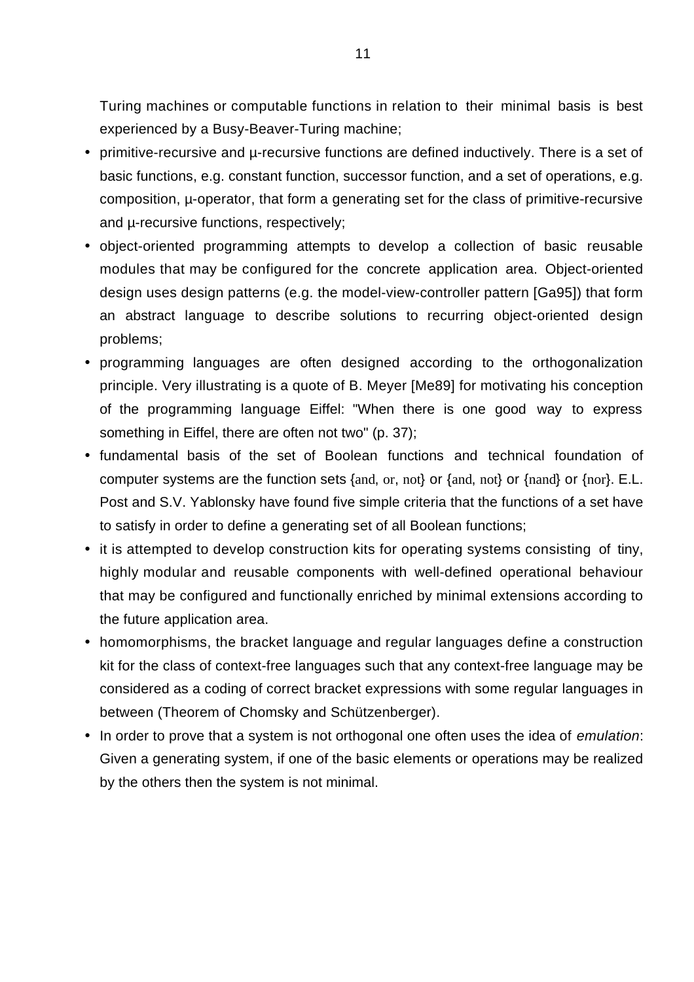Turing machines or computable functions in relation to their minimal basis is best experienced by a Busy-Beaver-Turing machine;

- primitive-recursive and µ-recursive functions are defined inductively. There is a set of basic functions, e.g. constant function, successor function, and a set of operations, e.g. composition, µ-operator, that form a generating set for the class of primitive-recursive and µ-recursive functions, respectively;
- object-oriented programming attempts to develop a collection of basic reusable modules that may be configured for the concrete application area. Object-oriented design uses design patterns (e.g. the model-view-controller pattern [Ga95]) that form an abstract language to describe solutions to recurring object-oriented design problems;
- programming languages are often designed according to the orthogonalization principle. Very illustrating is a quote of B. Meyer [Me89] for motivating his conception of the programming language Eiffel: "When there is one good way to express something in Eiffel, there are often not two" (p. 37);
- fundamental basis of the set of Boolean functions and technical foundation of computer systems are the function sets {and, or, not} or {and, not} or {nand} or {nor}. E.L. Post and S.V. Yablonsky have found five simple criteria that the functions of a set have to satisfy in order to define a generating set of all Boolean functions;
- it is attempted to develop construction kits for operating systems consisting of tiny, highly modular and reusable components with well-defined operational behaviour that may be configured and functionally enriched by minimal extensions according to the future application area.
- homomorphisms, the bracket language and regular languages define a construction kit for the class of context-free languages such that any context-free language may be considered as a coding of correct bracket expressions with some regular languages in between (Theorem of Chomsky and Schützenberger).
- In order to prove that a system is not orthogonal one often uses the idea of *emulation*: Given a generating system, if one of the basic elements or operations may be realized by the others then the system is not minimal.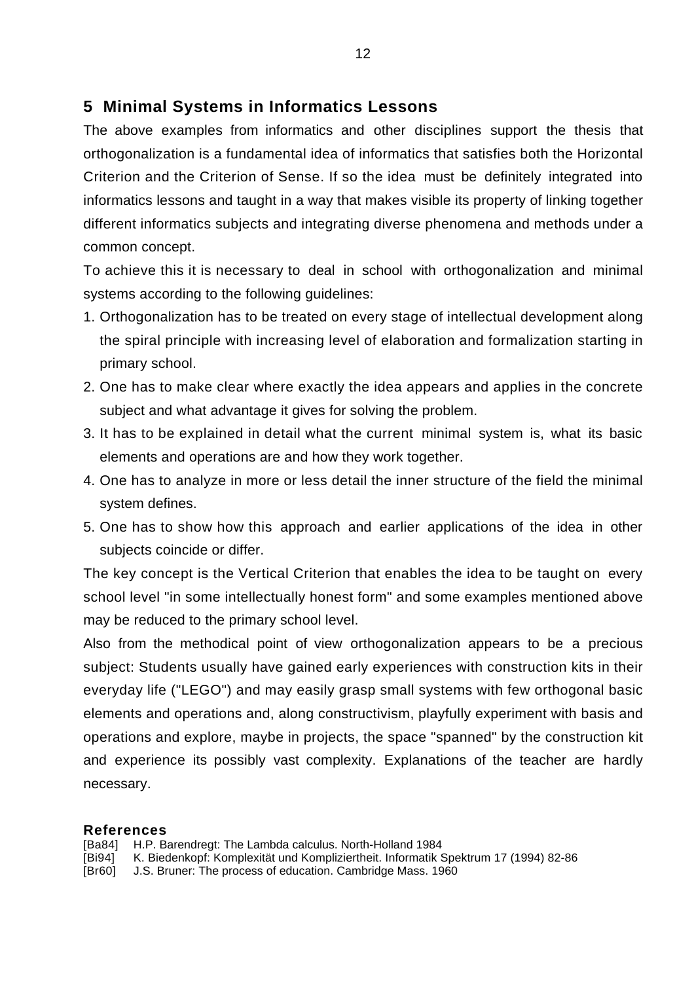# **5 Minimal Systems in Informatics Lessons**

The above examples from informatics and other disciplines support the thesis that orthogonalization is a fundamental idea of informatics that satisfies both the Horizontal Criterion and the Criterion of Sense. If so the idea must be definitely integrated into informatics lessons and taught in a way that makes visible its property of linking together different informatics subjects and integrating diverse phenomena and methods under a common concept.

To achieve this it is necessary to deal in school with orthogonalization and minimal systems according to the following guidelines:

- 1. Orthogonalization has to be treated on every stage of intellectual development along the spiral principle with increasing level of elaboration and formalization starting in primary school.
- 2. One has to make clear where exactly the idea appears and applies in the concrete subject and what advantage it gives for solving the problem.
- 3. It has to be explained in detail what the current minimal system is, what its basic elements and operations are and how they work together.
- 4. One has to analyze in more or less detail the inner structure of the field the minimal system defines.
- 5. One has to show how this approach and earlier applications of the idea in other subjects coincide or differ.

The key concept is the Vertical Criterion that enables the idea to be taught on every school level "in some intellectually honest form" and some examples mentioned above may be reduced to the primary school level.

Also from the methodical point of view orthogonalization appears to be a precious subject: Students usually have gained early experiences with construction kits in their everyday life ("LEGO") and may easily grasp small systems with few orthogonal basic elements and operations and, along constructivism, playfully experiment with basis and operations and explore, maybe in projects, the space "spanned" by the construction kit and experience its possibly vast complexity. Explanations of the teacher are hardly necessary.

### **References**

- [Ba84] H.P. Barendregt: The Lambda calculus. North-Holland 1984<br>[Bi94] K. Biedenkopf: Komplexität und Kompliziertheit. Informatik \$
- K. Biedenkopf: Komplexität und Kompliziertheit. Informatik Spektrum 17 (1994) 82-86
- [Br60] J.S. Bruner: The process of education. Cambridge Mass. 1960